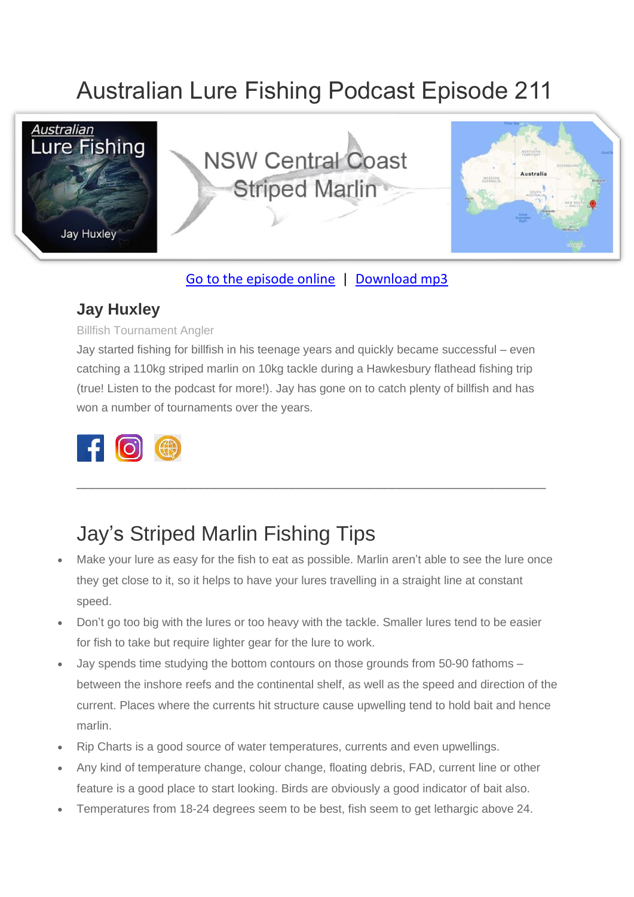# Australian Lure Fishing Podcast Episode 211



### [Go to the episode online](https://doclures.com/nsw-central-coast-striped-marlin-jay-huxley/) | [Download mp3](https://traffic.libsyn.com/secure/doclures/nsw-central-coast-striped-marlin-jay-huxley.mp3)

### **Jay Huxley**

#### Billfish Tournament Angler

Jay started fishing for billfish in his teenage years and quickly became successful – even catching a 110kg striped marlin on 10kg tackle during a Hawkesbury flathead fishing trip (true! Listen to the podcast for more!). Jay has gone on to catch plenty of billfish and has won a number of tournaments over the years.



## Jay's Striped Marlin Fishing Tips

Make your lure as easy for the fish to eat as possible. Marlin aren't able to see the lure once they get close to it, so it helps to have your lures travelling in a straight line at constant speed.

 $\_$  , and the set of the set of the set of the set of the set of the set of the set of the set of the set of the set of the set of the set of the set of the set of the set of the set of the set of the set of the set of th

- Don't go too big with the lures or too heavy with the tackle. Smaller lures tend to be easier for fish to take but require lighter gear for the lure to work.
- Jay spends time studying the bottom contours on those grounds from 50-90 fathoms between the inshore reefs and the continental shelf, as well as the speed and direction of the current. Places where the currents hit structure cause upwelling tend to hold bait and hence marlin.
- Rip Charts is a good source of water temperatures, currents and even upwellings.
- Any kind of temperature change, colour change, floating debris, FAD, current line or other feature is a good place to start looking. Birds are obviously a good indicator of bait also.
- Temperatures from 18-24 degrees seem to be best, fish seem to get lethargic above 24.